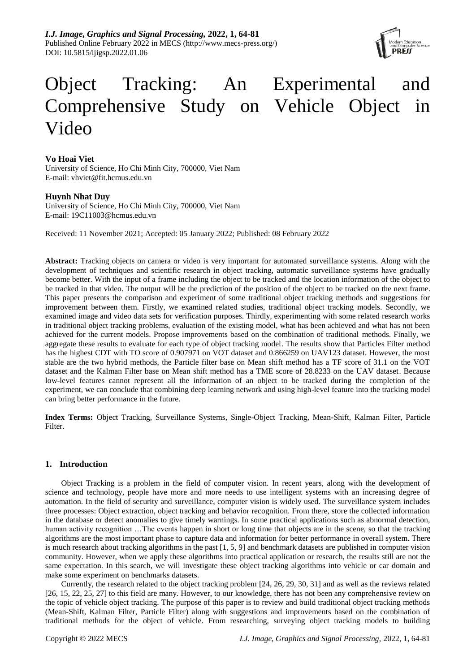

# Object Tracking: An Experimental and Comprehensive Study on Vehicle Object in Video

# **Vo Hoai Viet**

University of Science, Ho Chi Minh City, 700000, Viet Nam E-mail: vhviet@fit.hcmus.edu.vn

## **Huynh Nhat Duy**

University of Science, Ho Chi Minh City, 700000, Viet Nam E-mail: 19C11003@hcmus.edu.vn

Received: 11 November 2021; Accepted: 05 January 2022; Published: 08 February 2022

**Abstract:** Tracking objects on camera or video is very important for automated surveillance systems. Along with the development of techniques and scientific research in object tracking, automatic surveillance systems have gradually become better. With the input of a frame including the object to be tracked and the location information of the object to be tracked in that video. The output will be the prediction of the position of the object to be tracked on the next frame. This paper presents the comparison and experiment of some traditional object tracking methods and suggestions for improvement between them. Firstly, we examined related studies, traditional object tracking models. Secondly, we examined image and video data sets for verification purposes. Thirdly, experimenting with some related research works in traditional object tracking problems, evaluation of the existing model, what has been achieved and what has not been achieved for the current models. Propose improvements based on the combination of traditional methods. Finally, we aggregate these results to evaluate for each type of object tracking model. The results show that Particles Filter method has the highest CDT with TO score of 0.907971 on VOT dataset and 0.866259 on UAV123 dataset. However, the most stable are the two hybrid methods, the Particle filter base on Mean shift method has a TF score of 31.1 on the VOT dataset and the Kalman Filter base on Mean shift method has a TME score of 28.8233 on the UAV dataset. Because low-level features cannot represent all the information of an object to be tracked during the completion of the experiment, we can conclude that combining deep learning network and using high-level feature into the tracking model can bring better performance in the future.

**Index Terms:** Object Tracking, Surveillance Systems, Single-Object Tracking, Mean-Shift, Kalman Filter, Particle **Filter** 

# **1. Introduction**

Object Tracking is a problem in the field of computer vision. In recent years, along with the development of science and technology, people have more and more needs to use intelligent systems with an increasing degree of automation. In the field of security and surveillance, computer vision is widely used. The surveillance system includes three processes: Object extraction, object tracking and behavior recognition. From there, store the collected information in the database or detect anomalies to give timely warnings. In some practical applications such as abnormal detection, human activity recognition ... The events happen in short or long time that objects are in the scene, so that the tracking algorithms are the most important phase to capture data and information for better performance in overall system. There is much research about tracking algorithms in the past [1, 5, 9] and benchmark datasets are published in computer vision community. However, when we apply these algorithms into practical application or research, the results still are not the same expectation. In this search, we will investigate these object tracking algorithms into vehicle or car domain and make some experiment on benchmarks datasets.

Currently, the research related to the object tracking problem [24, 26, 29, 30, 31] and as well as the reviews related [26, 15, 22, 25, 27] to this field are many. However, to our knowledge, there has not been any comprehensive review on the topic of vehicle object tracking. The purpose of this paper is to review and build traditional object tracking methods (Mean-Shift, Kalman Filter, Particle Filter) along with suggestions and improvements based on the combination of traditional methods for the object of vehicle. From researching, surveying object tracking models to building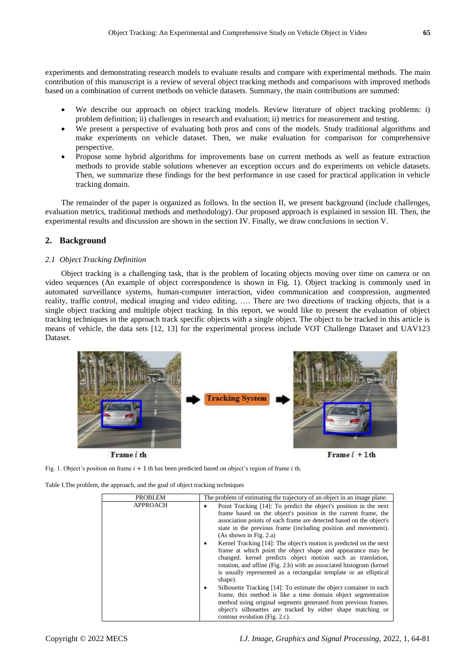experiments and demonstrating research models to evaluate results and compare with experimental methods. The main contribution of this manuscript is a review of several object tracking methods and comparisons with improved methods based on a combination of current methods on vehicle datasets. Summary, the main contributions are summed:

- We describe our approach on object tracking models. Review literature of object tracking problems: i) problem definition; ii) challenges in research and evaluation; ii) metrics for measurement and testing.
- We present a perspective of evaluating both pros and cons of the models. Study traditional algorithms and make experiments on vehicle dataset. Then, we make evaluation for comparison for comprehensive perspective.
- Propose some hybrid algorithms for improvements base on current methods as well as feature extraction methods to provide stable solutions whenever an exception occurs and do experiments on vehicle datasets. Then, we summarize these findings for the best performance in use cased for practical application in vehicle tracking domain.

The remainder of the paper is organized as follows. In the section II, we present background (include challenges, evaluation metrics, traditional methods and methodology). Our proposed approach is explained in session III. Then, the experimental results and discussion are shown in the section IV. Finally, we draw conclusions in section V.

# **2. Background**

## *2.1 Object Tracking Definition*

Object tracking is a challenging task, that is the problem of locating objects moving over time on camera or on video sequences (An example of object correspondence is shown in Fig. 1). Object tracking is commonly used in automated surveillance systems, human-computer interaction, video communication and compression, augmented reality, traffic control, medical imaging and video editing, …. There are two directions of tracking objects, that is a single object tracking and multiple object tracking. In this report, we would like to present the evaluation of object tracking techniques in the approach track specific objects with a single object. The object to be tracked in this article is means of vehicle, the data sets [12, 13] for the experimental process include VOT Challenge Dataset and UAV123 Dataset.



Frame i th

Frame $i + 1$ th

Fig. 1. Object's position on frame  $i + 1$  th has been predicted based on object's region of frame *i* th.

Table I.The problem, the approach, and the goal of object tracking techniques

| <b>PROBLEM</b>  | The problem of estimating the trajectory of an object in an image plane.                                                                                                                                                                                                                                                                                                                                                                                                                                                                                                                                                                                                                                                                                                                                                                                                                                                                                                    |
|-----------------|-----------------------------------------------------------------------------------------------------------------------------------------------------------------------------------------------------------------------------------------------------------------------------------------------------------------------------------------------------------------------------------------------------------------------------------------------------------------------------------------------------------------------------------------------------------------------------------------------------------------------------------------------------------------------------------------------------------------------------------------------------------------------------------------------------------------------------------------------------------------------------------------------------------------------------------------------------------------------------|
| <b>APPROACH</b> | Point Tracking [14]: To predict the object's position in the next<br>frame based on the object's position in the current frame, the<br>association points of each frame are detected based on the object's<br>state in the previous frame (including position and movement).<br>(As shown in Fig. 2.a)<br>Kernel Tracking [14]: The object's motion is predicted on the next<br>frame at which point the object shape and appearance may be<br>changed. kernel predicts object motion such as translation,<br>rotation, and affine (Fig. 2.b) with an associated histogram (kernel<br>is usually represented as a rectangular template or an elliptical<br>shape).<br>Silhouette Tracking [14]: To estimate the object container in each<br>frame, this method is like a time domain object segmentation<br>method using original segments generated from previous frames.<br>object's silhouettes are tracked by either shape matching or<br>contour evolution (Fig. 2.c). |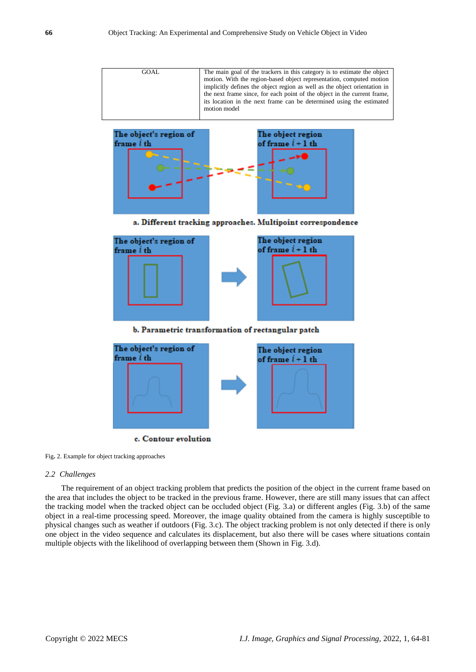| GOAL | The main goal of the trackers in this category is to estimate the object  |
|------|---------------------------------------------------------------------------|
|      | motion. With the region-based object representation, computed motion      |
|      | implicitly defines the object region as well as the object orientation in |
|      | the next frame since, for each point of the object in the current frame,  |
|      | its location in the next frame can be determined using the estimated      |
|      | motion model                                                              |
|      |                                                                           |



a. Different tracking approaches. Multipoint correspondence





Fig**.** 2. Example for object tracking approaches

#### *2.2 Challenges*

The requirement of an object tracking problem that predicts the position of the object in the current frame based on the area that includes the object to be tracked in the previous frame. However, there are still many issues that can affect the tracking model when the tracked object can be occluded object (Fig. 3.a) or different angles (Fig. 3.b) of the same object in a real-time processing speed. Moreover, the image quality obtained from the camera is highly susceptible to physical changes such as weather if outdoors (Fig. 3.c). The object tracking problem is not only detected if there is only one object in the video sequence and calculates its displacement, but also there will be cases where situations contain multiple objects with the likelihood of overlapping between them (Shown in Fig. 3.d).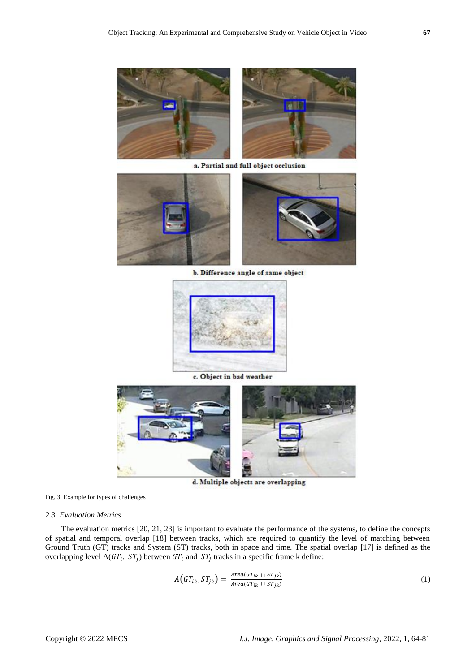

a. Partial and full object occlusion



b. Difference angle of same object





d. Multiple objects are overlapping

Fig. 3. Example for types of challenges

#### *2.3 Evaluation Metrics*

The evaluation metrics [20, 21, 23] is important to evaluate the performance of the systems, to define the concepts of spatial and temporal overlap [18] between tracks, which are required to quantify the level of matching between Ground Truth (GT) tracks and System (ST) tracks, both in space and time. The spatial overlap [17] is defined as the overlapping level A( $GT_i$ ,  $ST_j$ ) between  $GT_i$  and  $ST_j$  tracks in a specific frame k define:

$$
A\left( GT_{ik}, ST_{jk} \right) = \frac{Area(GT_{ik} \cap ST_{jk})}{Area(GT_{ik} \cup ST_{jk})}
$$
\n(1)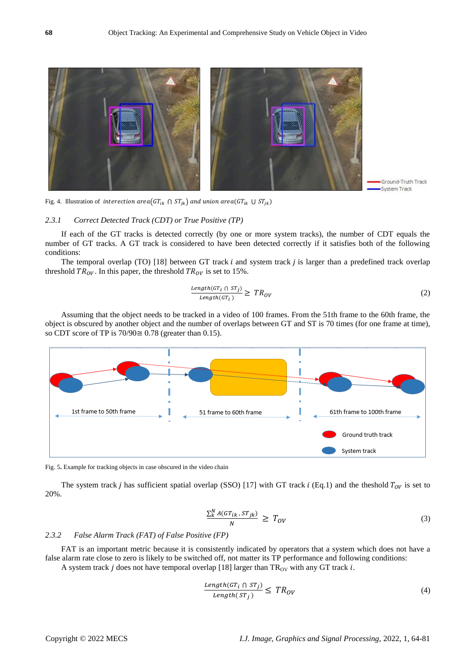

Fig. 4. Illustration of *interection area*( $GT_{ik} \cap ST_{jk}$ ) and union area( $GT_{ik} \cup ST_{jk}$ )

#### *2.3.1 Correct Detected Track (CDT) or True Positive (TP)*

If each of the GT tracks is detected correctly (by one or more system tracks), the number of CDT equals the number of GT tracks. A GT track is considered to have been detected correctly if it satisfies both of the following conditions:

The temporal overlap (TO)  $[18]$  between GT track *i* and system track *j* is larger than a predefined track overlap threshold  $TR_{OV}$ . In this paper, the threshold  $TR_{OV}$  is set to 15%.

$$
\frac{Length(GT_i \cap ST_j)}{Length(GT_i)} \geq TR_{OV}
$$
\n(2)

Assuming that the object needs to be tracked in a video of 100 frames. From the 51th frame to the 60th frame, the object is obscured by another object and the number of overlaps between GT and ST is 70 times (for one frame at time), so CDT score of TP is  $70/90 \approx 0.78$  (greater than 0.15).



Fig. 5**.** Example for tracking objects in case obscured in the video chain

The system track *j* has sufficient spatial overlap (SSO) [17] with GT track *i* (Eq.1) and the theshold  $T_{0V}$  is set to 20%.

$$
\frac{\sum_{k}^{N} A(GT_{ik}, ST_{jk})}{N} \geq T_{OV}
$$
\n(3)

#### *2.3.2 False Alarm Track (FAT) of False Positive (FP)*

FAT is an important metric because it is consistently indicated by operators that a system which does not have a false alarm rate close to zero is likely to be switched off, not matter its TP performance and following conditions: A system track  $j$  does not have temporal overlap [18] larger than TR<sub>OV</sub> with any GT track  $i$ .

$$
\frac{Length(GT_i \cap ST_j)}{Length(ST_j)} \leq TR_{OV}
$$
\n(4)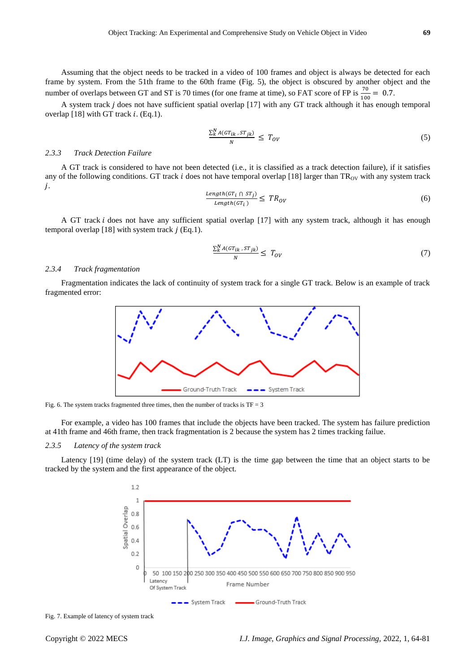Assuming that the object needs to be tracked in a video of 100 frames and object is always be detected for each frame by system. From the 51th frame to the 60th frame (Fig. 5), the object is obscured by another object and the number of overlaps between GT and ST is 70 times (for one frame at time), so FAT score of FP is  $\frac{70}{100} = 0.7$ .

A system track  $j$  does not have sufficient spatial overlap  $[17]$  with any GT track although it has enough temporal overlap  $[18]$  with GT track i. (Eq.1).

$$
\frac{\sum_{k}^{N} A(GT_{ik}, ST_{jk})}{N} \leq T_{OV} \tag{5}
$$

## *2.3.3 Track Detection Failure*

A GT track is considered to have not been detected (i.e., it is classified as a track detection failure), if it satisfies any of the following conditions. GT track  $i$  does not have temporal overlap [18] larger than  $TR<sub>OV</sub>$  with any system track j.

$$
\frac{Length(GT_i \cap ST_j)}{Length(GT_i)} \leq TR_{OV} \tag{6}
$$

A GT track *i* does not have any sufficient spatial overlap [17] with any system track, although it has enough temporal overlap [18] with system track  $j$  (Eq.1).

$$
\frac{\sum_{k}^{N} A(GT_{ik}, ST_{jk})}{N} \le T_{OV} \tag{7}
$$

## *2.3.4 Track fragmentation*

Fragmentation indicates the lack of continuity of system track for a single GT track. Below is an example of track fragmented error:



Fig. 6. The system tracks fragmented three times, then the number of tracks is  $TF = 3$ 

For example, a video has 100 frames that include the objects have been tracked. The system has failure prediction at 41th frame and 46th frame, then track fragmentation is 2 because the system has 2 times tracking failue.

#### *2.3.5 Latency of the system track*

Latency [19] (time delay) of the system track (LT) is the time gap between the time that an object starts to be tracked by the system and the first appearance of the object.



Fig. 7. Example of latency of system track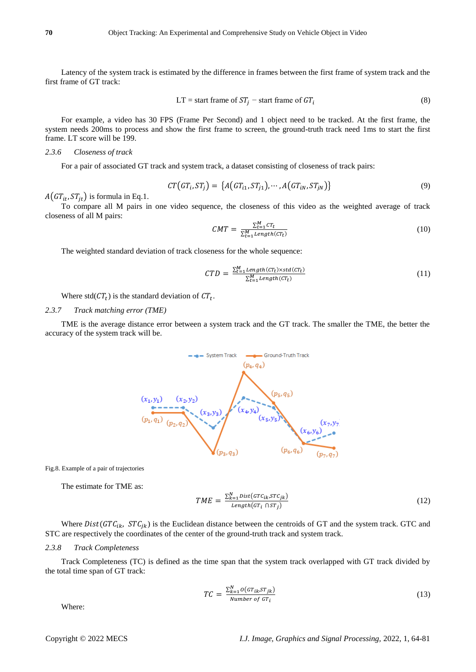Latency of the system track is estimated by the difference in frames between the first frame of system track and the first frame of GT track:

$$
LT = start frame of ST_j - start frame of GT_i
$$
 (8)

For example, a video has 30 FPS (Frame Per Second) and 1 object need to be tracked. At the first frame, the system needs 200ms to process and show the first frame to screen, the ground-truth track need 1ms to start the first frame. LT score will be 199.

## *2.3.6 Closeness of track*

For a pair of associated GT track and system track, a dataset consisting of closeness of track pairs:

$$
CT\big(GT_i, ST_j\big) = \big\{A\big(GT_{i1}, ST_{j1}\big), \cdots, A\big(GT_{iN}, ST_{jN}\big)\big\} \tag{9}
$$

 $A(GT_{it}, ST_{it})$  is formula in Eq.1.

To compare all M pairs in one video sequence, the closeness of this video as the weighted average of track closeness of all M pairs:

$$
CMT = \frac{\sum_{t=1}^{M} CT_t}{\sum_{t=1}^{M} Length(CT_t)}
$$
\n(10)

The weighted standard deviation of track closeness for the whole sequence:

$$
CTD = \frac{\sum_{t=1}^{M} Length(CT_t) \times std(CT_t)}{\sum_{t=1}^{M} Length(CT_t)}
$$
\n(11)

Where std( $CT_t$ ) is the standard deviation of  $CT_t$ .

#### *2.3.7 Track matching error (TME)*

TME is the average distance error between a system track and the GT track. The smaller the TME, the better the accuracy of the system track will be.



Fig.8. Example of a pair of trajectories

The estimate for TME as:

$$
TME = \frac{\sum_{k=1}^{N} Dist(GTc_{ik}, STc_{jk})}{Length(GT_i \cap ST_j)}
$$
(12)

Where  $Dist(GTC_{ik}, STC_{ik})$  is the Euclidean distance between the centroids of GT and the system track. GTC and STC are respectively the coordinates of the center of the ground-truth track and system track.

#### *2.3.8 Track Completeness*

Track Completeness (TC) is defined as the time span that the system track overlapped with GT track divided by the total time span of GT track:

$$
TC = \frac{\sum_{k=1}^{N} o(GT_{ik}ST_{jk})}{Number\ of\ GT_{i}}\tag{13}
$$

Where: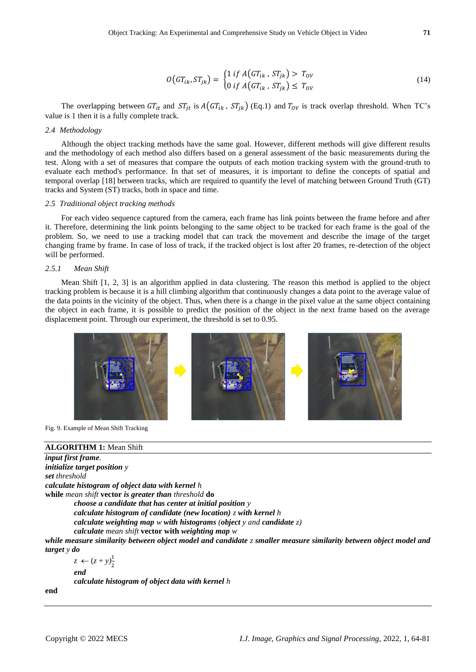$$
O(GT_{ik}, ST_{jk}) = \begin{cases} 1 \text{ if } A(GT_{ik}, ST_{jk}) > T_{ov} \\ 0 \text{ if } A(GT_{ik}, ST_{jk}) \le T_{ov} \end{cases}
$$
(14)

The overlapping between  $GT_{it}$  and  $ST_{it}$  is  $A(GT_{ik}, ST_{ik})$  (Eq.1) and  $T_{0V}$  is track overlap threshold. When TC's value is 1 then it is a fully complete track.

#### *2.4 Methodology*

Although the object tracking methods have the same goal. However, different methods will give different results and the methodology of each method also differs based on a general assessment of the basic measurements during the test. Along with a set of measures that compare the outputs of each motion tracking system with the ground-truth to evaluate each method's performance. In that set of measures, it is important to define the concepts of spatial and temporal overlap [18] between tracks, which are required to quantify the level of matching between Ground Truth (GT) tracks and System (ST) tracks, both in space and time.

#### *2.5 Traditional object tracking methods*

For each video sequence captured from the camera, each frame has link points between the frame before and after it. Therefore, determining the link points belonging to the same object to be tracked for each frame is the goal of the problem. So, we need to use a tracking model that can track the movement and describe the image of the target changing frame by frame. In case of loss of track, if the tracked object is lost after 20 frames, re-detection of the object will be performed.

## *2.5.1 Mean Shift*

Mean Shift [1, 2, 3] is an algorithm applied in data clustering. The reason this method is applied to the object tracking problem is because it is a hill climbing algorithm that continuously changes a data point to the average value of the data points in the vicinity of the object. Thus, when there is a change in the pixel value at the same object containing the object in each frame, it is possible to predict the position of the object in the next frame based on the average displacement point. Through our experiment, the threshold is set to 0.95.



Fig. 9. Example of Mean Shift Tracking

## **ALGORITHM 1:** Mean Shift

```
input first frame.
initialize target position y
set threshold
calculate histogram of object data with kernel h
while mean shift vector is greater than threshold do
         choose a candidate that has center at initial position y
         calculate histogram of candidate (new location) z with kernel h
         calculate weighting map w with histograms (object y and candidate z)
         calculate mean shift vector with weighting map w
while measure similarity between object model and candidate z smaller measure similarity between object model and 
target y do
         z \leftarrow (z + y) \frac{1}{2}
```
*end calculate histogram of object data with kernel h*

**end**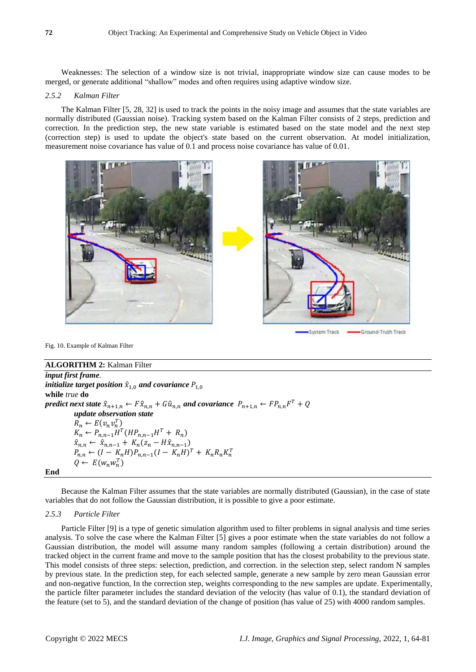Weaknesses: The selection of a window size is not trivial, inappropriate window size can cause modes to be merged, or generate additional "shallow" modes and often requires using adaptive window size.

#### *2.5.2 Kalman Filter*

The Kalman Filter [5, 28, 32] is used to track the points in the noisy image and assumes that the state variables are normally distributed (Gaussian noise). Tracking system based on the Kalman Filter consists of 2 steps, prediction and correction. In the prediction step, the new state variable is estimated based on the state model and the next step (correction step) is used to update the object's state based on the current observation. At model initialization, measurement noise covariance has value of 0.1 and process noise covariance has value of 0.01.



System Track Ground-Truth Track

Fig. 10. Example of Kalman Filter

# **ALGORITHM 2:** Kalman Filter

*input first frame. initialize target position*  $\hat{x}_{1,0}$  *and covariance*  $P_{1,0}$ **while** *true* **do**  $p$ redict next state  $\hat{x}_{n+1,n} \leftarrow F \hat{x}_{n,n} + G \hat{u}_{n,n}$  and covariance  $P_{n+1,n} \leftarrow F P_{n,n} F^T + Q$ *update observation state*  $R_n \leftarrow E(v_n v_n^T)$  $K_n \leftarrow P_{n,n-1} H^T (H P_{n,n-1} H^T + R_n)$  $\hat{x}_{n,n} \leftarrow \hat{x}_{n,n-1} + K_n(z_n - H\hat{x}_{n,n-1})$  $P_{n,n} \leftarrow (I - K_n H) P_{n,n-1} (I - K_n H)^T + K_n R_n K_n^T$  $Q \leftarrow E(w_n w_n^T)$ 

**End**

Because the Kalman Filter assumes that the state variables are normally distributed (Gaussian), in the case of state variables that do not follow the Gaussian distribution, it is possible to give a poor estimate.

#### *2.5.3 Particle Filter*

Particle Filter [9] is a type of genetic simulation algorithm used to filter problems in signal analysis and time series analysis. To solve the case where the Kalman Filter [5] gives a poor estimate when the state variables do not follow a Gaussian distribution, the model will assume many random samples (following a certain distribution) around the tracked object in the current frame and move to the sample position that has the closest probability to the previous state. This model consists of three steps: selection, prediction, and correction. in the selection step, select random N samples by previous state. In the prediction step, for each selected sample, generate a new sample by zero mean Gaussian error and non-negative function, In the correction step, weights corresponding to the new samples are update. Experimentally, the particle filter parameter includes the standard deviation of the velocity (has value of 0.1), the standard deviation of the feature (set to 5), and the standard deviation of the change of position (has value of 25) with 4000 random samples.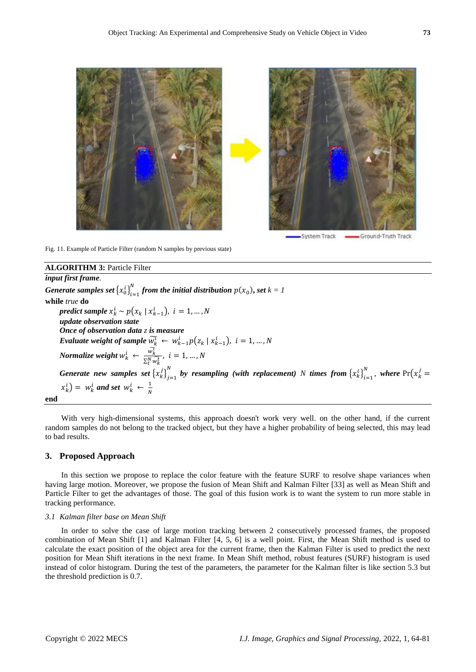

Fig. 11. Example of Particle Filter (random N samples by previous state)

# **ALGORITHM 3:** Particle Filter

*input first frame.*

*Generate* samples set  $\left\{x_0^i\right\}_{i=1}^N$  $f_{i-1}^N$  from the initial distribution  $p(x_0)$ , set  $k = 1$ **while** *true* **do**  $\textit{predict sample } x_k^i \sim p(x_k \mid x_{k-1}^i), \, \, i = 1, ..., N$ *update observation state Once of observation data z is measure Evaluate* weight of sample  $\widetilde{w_k^t} \leftarrow w_{k-1}^i p(z_k | x_{k-1}^i)$ ,  $i = 1,...,N$ *Normalize weight*  $w_k^i$   $\leftarrow \frac{\widetilde{w_k^i}}{\sum N}$  $\frac{W_k}{\sum_{t}^{N}\widetilde{w_k^t}}, i=1,...,N$ *Generate new samples set*  ${x_k^j}_{j=1}^N$  $\sum_{j=1}^{N}$  by resampling (with replacement) *N* times from  $\left\{x_k^i\right\}_{i=1}^N$  $\sum_{i=1}^{N}$ , where  $Pr(x_k^j =$  $\left(x_k^i\right) = w_k^i$  and set  $w_k^i \leftarrow \frac{1}{N}$ N

#### **end**

With very high-dimensional systems, this approach doesn't work very well. on the other hand, if the current random samples do not belong to the tracked object, but they have a higher probability of being selected, this may lead to bad results.

## **3. Proposed Approach**

In this section we propose to replace the color feature with the feature SURF to resolve shape variances when having large motion. Moreover, we propose the fusion of Mean Shift and Kalman Filter [33] as well as Mean Shift and Particle Filter to get the advantages of those. The goal of this fusion work is to want the system to run more stable in tracking performance.

#### *3.1 Kalman filter base on Mean Shift*

In order to solve the case of large motion tracking between 2 consecutively processed frames, the proposed combination of Mean Shift [1] and Kalman Filter [4, 5, 6] is a well point. First, the Mean Shift method is used to calculate the exact position of the object area for the current frame, then the Kalman Filter is used to predict the next position for Mean Shift iterations in the next frame. In Mean Shift method, robust features (SURF) histogram is used instead of color histogram. During the test of the parameters, the parameter for the Kalman filter is like section 5.3 but the threshold prediction is 0.7.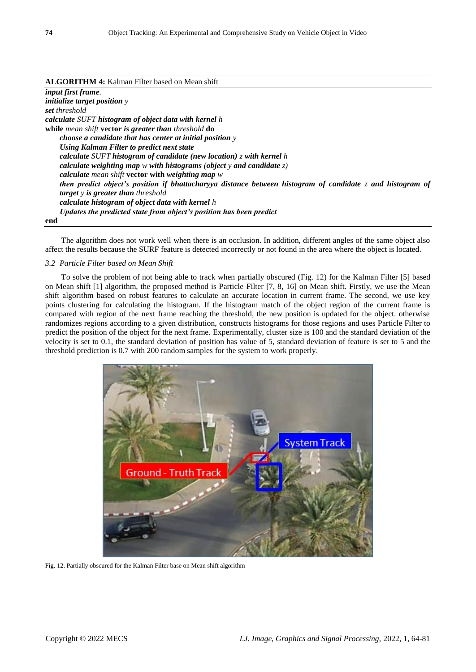## **ALGORITHM 4:** Kalman Filter based on Mean shift

*input first frame. initialize target position y set threshold calculate SUFT histogram of object data with kernel h* **while** *mean shift* **vector** *is greater than threshold* **do** *choose a candidate that has center at initial position y Using Kalman Filter to predict next state calculate SUFT histogram of candidate (new location) z with kernel h calculate weighting map w with histograms (object y and candidate z) calculate mean shift* **vector with** *weighting map w then predict object's position if bhattacharyya distance between histogram of candidate z and histogram of target y is greater than threshold calculate histogram of object data with kernel h Updates the predicted state from object's position has been predict* **end**

The algorithm does not work well when there is an occlusion. In addition, different angles of the same object also affect the results because the SURF feature is detected incorrectly or not found in the area where the object is located.

#### *3.2 Particle Filter based on Mean Shift*

To solve the problem of not being able to track when partially obscured (Fig. 12) for the Kalman Filter [5] based on Mean shift [1] algorithm, the proposed method is Particle Filter [7, 8, 16] on Mean shift. Firstly, we use the Mean shift algorithm based on robust features to calculate an accurate location in current frame. The second, we use key points clustering for calculating the histogram. If the histogram match of the object region of the current frame is compared with region of the next frame reaching the threshold, the new position is updated for the object. otherwise randomizes regions according to a given distribution, constructs histograms for those regions and uses Particle Filter to predict the position of the object for the next frame. Experimentally, cluster size is 100 and the standard deviation of the velocity is set to 0.1, the standard deviation of position has value of 5, standard deviation of feature is set to 5 and the threshold prediction is 0.7 with 200 random samples for the system to work properly.



Fig. 12. Partially obscured for the Kalman Filter base on Mean shift algorithm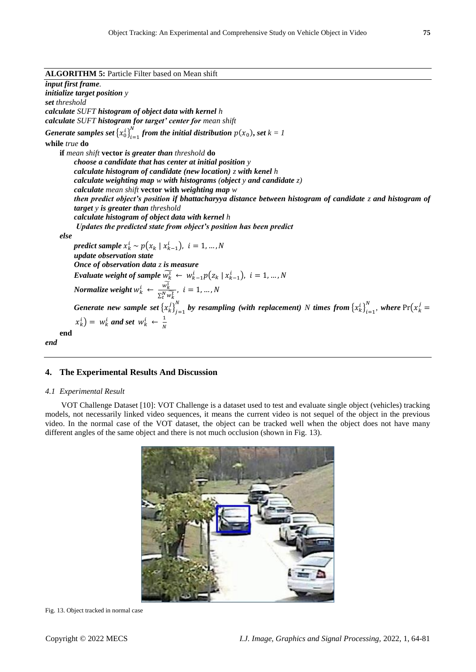| <b>ALGORITHM 5: Particle Filter based on Mean shift</b> |  |
|---------------------------------------------------------|--|
|---------------------------------------------------------|--|

*input first frame. initialize target position y set threshold calculate SUFT histogram of object data with kernel h calculate SUFT histogram for target' center for mean shift Generate samples set*  $\left\{x_0^i\right\}_{i=1}^N$  $f_{i-1}^N$  from the initial distribution  $p(x_0)$ , set  $k = 1$ **while** *true* **do if** *mean shift* **vector** *is greater than threshold* **do** *choose a candidate that has center at initial position y calculate histogram of candidate (new location) z with kenel h calculate weighting map w with histograms (object y and candidate z) calculate mean shift* **vector with** *weighting map w then predict object's position if bhattacharyya distance between histogram of candidate z and histogram of target y is greater than threshold calculate histogram of object data with kernel h Updates the predicted state from object's position has been predict else*  $\textit{predict} \ \textit{sample} \ x_k^i \sim p\big(x_k \mid x_{k-1}^i\big), \ \ i=1,...,N$ *update observation state Once of observation data z is measure Evaluate weight of sample*  $\widetilde{w_k^i} \leftarrow w_{k-1}^i p(z_k | x_{k-1}^i)$ ,  $i = 1, ..., N$ *Normalize weight*  $w_k^i \leftarrow \frac{\widetilde{w_k^i}}{S N_{i,i}}$  $\frac{W_k}{\sum_{t}^{N}\widetilde{w_k^t}}, i=1,...,N$ *Generate new sample set*  $\{x_k^j\}_{j=1}^N$  $\sum_{j=1}^{N}$  by resampling (with replacement)  $N$  times from  $\left\{x_k^i\right\}_{i=1}^{N}$  $\sum_{i=1}^{N}$ , where  $Pr(x_k^j =$  $\left(x_k^i\right) = w_k^i$  and set  $w_k^i \leftarrow \frac{1}{N}$ N **end** *end*

**4. The Experimental Results And Discussion**

## *4.1 Experimental Result*

VOT Challenge Dataset [10]: VOT Challenge is a dataset used to test and evaluate single object (vehicles) tracking models, not necessarily linked video sequences, it means the current video is not sequel of the object in the previous video. In the normal case of the VOT dataset, the object can be tracked well when the object does not have many different angles of the same object and there is not much occlusion (shown in Fig. 13).



Fig. 13. Object tracked in normal case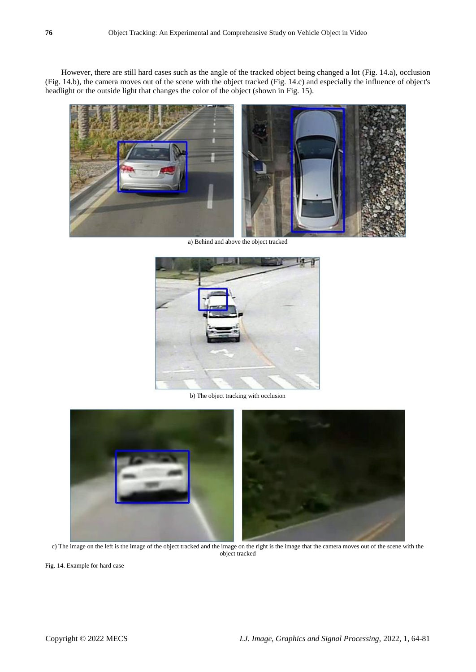However, there are still hard cases such as the angle of the tracked object being changed a lot (Fig. 14.a), occlusion (Fig. 14.b), the camera moves out of the scene with the object tracked (Fig. 14.c) and especially the influence of object's headlight or the outside light that changes the color of the object (shown in Fig. 15).



a) Behind and above the object tracked



b) The object tracking with occlusion



c) The image on the left is the image of the object tracked and the image on the right is the image that the camera moves out of the scene with the object tracked

Fig. 14. Example for hard case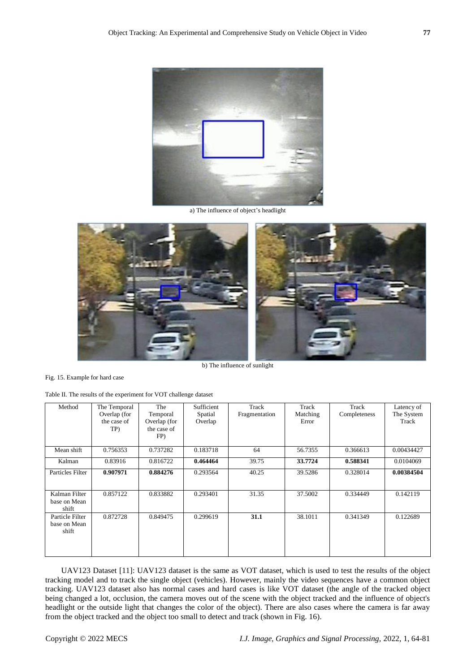

a) The influence of object's headlight



Fig. 15. Example for hard case

Table II. The results of the experiment for VOT challenge dataset

| Method                                   | The Temporal<br>Overlap (for<br>the case of<br>TP) | The<br>Temporal<br>Overlap (for<br>the case of | Sufficient<br>Spatial<br>Overlap | Track<br>Fragmentation | Track<br>Matching<br>Error | Track<br>Completeness | Latency of<br>The System<br>Track |
|------------------------------------------|----------------------------------------------------|------------------------------------------------|----------------------------------|------------------------|----------------------------|-----------------------|-----------------------------------|
|                                          |                                                    | FP)                                            |                                  |                        |                            |                       |                                   |
| Mean shift                               | 0.756353                                           | 0.737282                                       | 0.183718                         | 64                     | 56.7355                    | 0.366613              | 0.00434427                        |
| Kalman                                   | 0.83916                                            | 0.816722                                       | 0.464464                         | 39.75                  | 33.7724                    | 0.588341              | 0.0104069                         |
| Particles Filter                         | 0.907971                                           | 0.884276                                       | 0.293564                         | 40.25                  | 39.5286                    | 0.328014              | 0.00384504                        |
| Kalman Filter<br>base on Mean<br>shift   | 0.857122                                           | 0.833882                                       | 0.293401                         | 31.35                  | 37.5002                    | 0.334449              | 0.142119                          |
| Particle Filter<br>base on Mean<br>shift | 0.872728                                           | 0.849475                                       | 0.299619                         | 31.1                   | 38.1011                    | 0.341349              | 0.122689                          |

UAV123 Dataset [11]: UAV123 dataset is the same as VOT dataset, which is used to test the results of the object tracking model and to track the single object (vehicles). However, mainly the video sequences have a common object tracking. UAV123 dataset also has normal cases and hard cases is like VOT dataset (the angle of the tracked object being changed a lot, occlusion, the camera moves out of the scene with the object tracked and the influence of object's headlight or the outside light that changes the color of the object). There are also cases where the camera is far away from the object tracked and the object too small to detect and track (shown in Fig. 16).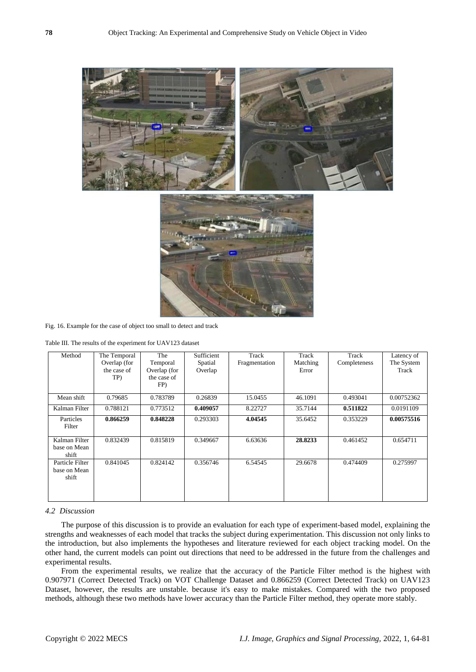

Fig. 16. Example for the case of object too small to detect and track

Table III. The results of the experiment for UAV123 dataset

| Method                                   | The Temporal<br>Overlap (for<br>the case of<br>TP) | The<br>Temporal<br>Overlap (for<br>the case of<br>FP) | Sufficient<br>Spatial<br>Overlap | Track<br>Fragmentation | Track<br>Matching<br>Error | Track<br>Completeness | Latency of<br>The System<br>Track |
|------------------------------------------|----------------------------------------------------|-------------------------------------------------------|----------------------------------|------------------------|----------------------------|-----------------------|-----------------------------------|
| Mean shift                               | 0.79685                                            | 0.783789                                              | 0.26839                          | 15.0455                | 46.1091                    | 0.493041              | 0.00752362                        |
| Kalman Filter                            | 0.788121                                           | 0.773512                                              | 0.409057                         | 8.22727                | 35.7144                    | 0.511822              | 0.0191109                         |
| Particles<br>Filter                      | 0.866259                                           | 0.848228                                              | 0.293303                         | 4.04545                | 35.6452                    | 0.353229              | 0.00575516                        |
| Kalman Filter<br>base on Mean<br>shift   | 0.832439                                           | 0.815819                                              | 0.349667                         | 6.63636                | 28.8233                    | 0.461452              | 0.654711                          |
| Particle Filter<br>base on Mean<br>shift | 0.841045                                           | 0.824142                                              | 0.356746                         | 6.54545                | 29.6678                    | 0.474409              | 0.275997                          |

## *4.2 Discussion*

The purpose of this discussion is to provide an evaluation for each type of experiment-based model, explaining the strengths and weaknesses of each model that tracks the subject during experimentation. This discussion not only links to the introduction, but also implements the hypotheses and literature reviewed for each object tracking model. On the other hand, the current models can point out directions that need to be addressed in the future from the challenges and experimental results.

From the experimental results, we realize that the accuracy of the Particle Filter method is the highest with 0.907971 (Correct Detected Track) on VOT Challenge Dataset and 0.866259 (Correct Detected Track) on UAV123 Dataset, however, the results are unstable. because it's easy to make mistakes. Compared with the two proposed methods, although these two methods have lower accuracy than the Particle Filter method, they operate more stably.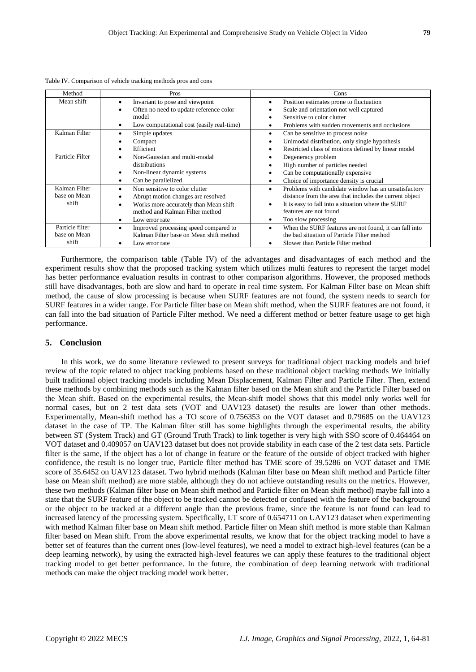| Method          | Pros                                               | Cons                                                                |
|-----------------|----------------------------------------------------|---------------------------------------------------------------------|
| Mean shift      | Invariant to pose and viewpoint<br>٠               | Position estimates prone to fluctuation<br>٠                        |
|                 | Often no need to update reference color<br>٠       | Scale and orientation not well captured                             |
|                 | model                                              | Sensitive to color clutter                                          |
|                 | Low computational cost (easily real-time)<br>٠     | Problems with sudden movements and occlusions<br>٠                  |
| Kalman Filter   | Simple updates                                     | Can be sensitive to process noise<br>٠                              |
|                 | Compact                                            | Unimodal distribution, only single hypothesis<br>$\bullet$          |
|                 | Efficient<br>٠                                     | Restricted class of motions defined by linear model<br>٠            |
| Particle Filter | Non-Gaussian and multi-modal                       | Degeneracy problem<br>٠                                             |
|                 | distributions                                      | High number of particles needed<br>$\bullet$                        |
|                 | Non-linear dynamic systems<br>٠                    | Can be computationally expensive<br>$\bullet$                       |
|                 | Can be parallelized<br>٠                           | Choice of importance density is crucial<br>٠                        |
| Kalman Filter   | Non sensitive to color clutter<br>٠                | Problems with candidate window has an unsatisfactory<br>٠           |
| base on Mean    | Abrupt motion changes are resolved                 | distance from the area that includes the current object             |
| shift           | Works more accurately than Mean shift<br>٠         | It is easy to fall into a situation where the SURF<br>$\bullet$     |
|                 | method and Kalman Filter method                    | features are not found                                              |
|                 | Low error rate<br>٠                                | Too slow processing<br>٠                                            |
| Particle filter | Improved processing speed compared to<br>$\bullet$ | When the SURF features are not found, it can fall into<br>$\bullet$ |
| base on Mean    | Kalman Filter base on Mean shift method            | the bad situation of Particle Filter method                         |
| shift           | Low error rate                                     | Slower than Particle Filter method<br>٠                             |

Table IV. Comparison of vehicle tracking methods pros and cons

Furthermore, the comparison table (Table IV) of the advantages and disadvantages of each method and the experiment results show that the proposed tracking system which utilizes multi features to represent the target model has better performance evaluation results in contrast to other comparison algorithms. However, the proposed methods still have disadvantages, both are slow and hard to operate in real time system. For Kalman Filter base on Mean shift method, the cause of slow processing is because when SURF features are not found, the system needs to search for SURF features in a wider range. For Particle filter base on Mean shift method, when the SURF features are not found, it can fall into the bad situation of Particle Filter method. We need a different method or better feature usage to get high performance.

## **5. Conclusion**

In this work, we do some literature reviewed to present surveys for traditional object tracking models and brief review of the topic related to object tracking problems based on these traditional object tracking methods We initially built traditional object tracking models including Mean Displacement, Kalman Filter and Particle Filter. Then, extend these methods by combining methods such as the Kalman filter based on the Mean shift and the Particle Filter based on the Mean shift. Based on the experimental results, the Mean-shift model shows that this model only works well for normal cases, but on 2 test data sets (VOT and UAV123 dataset) the results are lower than other methods. Experimentally, Mean-shift method has a TO score of 0.756353 on the VOT dataset and 0.79685 on the UAV123 dataset in the case of TP. The Kalman filter still has some highlights through the experimental results, the ability between ST (System Track) and GT (Ground Truth Track) to link together is very high with SSO score of 0.464464 on VOT dataset and 0.409057 on UAV123 dataset but does not provide stability in each case of the 2 test data sets. Particle filter is the same, if the object has a lot of change in feature or the feature of the outside of object tracked with higher confidence, the result is no longer true, Particle filter method has TME score of 39.5286 on VOT dataset and TME score of 35.6452 on UAV123 dataset. Two hybrid methods (Kalman filter base on Mean shift method and Particle filter base on Mean shift method) are more stable, although they do not achieve outstanding results on the metrics. However, these two methods (Kalman filter base on Mean shift method and Particle filter on Mean shift method) maybe fall into a state that the SURF feature of the object to be tracked cannot be detected or confused with the feature of the background or the object to be tracked at a different angle than the previous frame, since the feature is not found can lead to increased latency of the processing system. Specifically, LT score of 0.654711 on UAV123 dataset when experimenting with method Kalman filter base on Mean shift method. Particle filter on Mean shift method is more stable than Kalman filter based on Mean shift. From the above experimental results, we know that for the object tracking model to have a better set of features than the current ones (low-level features), we need a model to extract high-level features (can be a deep learning network), by using the extracted high-level features we can apply these features to the traditional object tracking model to get better performance. In the future, the combination of deep learning network with traditional methods can make the object tracking model work better.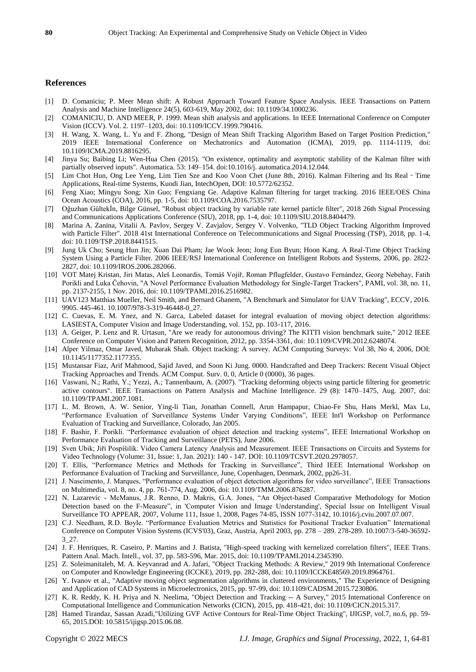## **References**

- [1] D. Comaniciu; P. Meer Mean shift: A Robust Approach Toward Feature Space Analysis. IEEE Transactions on Pattern Analysis and Machine Intelligence 24(5), 603-619, May 2002, doi: 10.1109/34.1000236.
- [2] COMANICIU, D. AND MEER, P. 1999. Mean shift analysis and applications. In IEEE International Conference on Computer Vision (ICCV). Vol. 2. 1197–1203, doi: 10.1109/ICCV.1999.790416.
- [3] H. Wang, X. Wang, L. Yu and F. Zhong, "Design of Mean Shift Tracking Algorithm Based on Target Position Prediction," 2019 IEEE International Conference on Mechatronics and Automation (ICMA), 2019, pp. 1114-1119, doi: 10.1109/ICMA.2019.8816295.
- [4] Jinya Su; Baibing Li; Wen-Hua Chen (2015). "On existence, optimality and asymptotic stability of the Kalman filter with partially observed inputs". Automatica. 53: 149–154. doi:10.1016/j. automatica.2014.12.044.
- [5] Lim Chot Hun, Ong Lee Yeng, Lim Tien Sze and Koo Voon Chet (June 8th, 2016). Kalman Filtering and Its Real‐Time Applications, Real-time Systems, Kuodi Jian, IntechOpen, DOI: 10.5772/62352.
- [6] Feng Xiao; Mingyu Song; Xin Guo; Fengxiang Ge. Adaptive Kalman filtering for target tracking. 2016 IEEE/OES China Ocean Acoustics (COA), 2016, pp. 1-5, doi: 10.1109/COA.2016.7535797.
- [7] Oğuzhan Gültekİn, Bilge Günsel, "Robust object tracking by variable rate kernel particle filter", 2018 26th Signal Processing and Communications Applications Conference (SIU), 2018, pp. 1-4, doi: 10.1109/SIU.2018.8404479.
- [8] Marina A. Zanina, Vitalii A. Pavlov, Sergey V. Zavjalov, Sergey V. Volvenko, "TLD Object Tracking Algorithm Improved with Particle Filter". 2018 41st International Conference on Telecommunications and Signal Processing (TSP), 2018, pp. 1-4, doi: 10.1109/TSP.2018.8441515.
- [9] Jung Uk Cho; Seung Hun Jin; Xuan Dai Pham; Jae Wook Jeon; Jong Eun Byun; Hoon Kang. A Real-Time Object Tracking System Using a Particle Filter. 2006 IEEE/RSJ International Conference on Intelligent Robots and Systems, 2006, pp. 2822- 2827, doi: 10.1109/IROS.2006.282066.
- [10] VOT Matej Kristan, Jiri Matas, Aleš Leonardis, Tomáš Vojı́ ř, Roman Pflugfelder, Gustavo Fernández, Georg Nebehay, Fatih Porikli and Luka Čehovin, "A Novel Performance Evaluation Methodology for Single-Target Trackers", PAMI, vol. 38, no. 11, pp. 2137-2155, 1 Nov. 2016, doi: 10.1109/TPAMI.2016.2516982.
- [11] UAV123 Matthias Mueller, Neil Smith, and Bernard Ghanem, "A Benchmark and Simulator for UAV Tracking", ECCV, 2016. 9905. 445-461. 10.1007/978-3-319-46448-0\_27.
- [12] C. Cuevas, E. M. Ynez, and N. Garca, Labeled dataset for integral evaluation of moving object detection algorithms: LASIESTA, Computer Vision and Image Understanding, vol. 152, pp. 103-117, 2016.
- [13] A. Geiger, P. Lenz and R. Urtasun, "Are we ready for autonomous driving? The KITTI vision benchmark suite," 2012 IEEE Conference on Computer Vision and Pattern Recognition, 2012, pp. 3354-3361, doi: 10.1109/CVPR.2012.6248074.
- [14] Alper Yilmaz, Omar Javed, Mubarak Shah. Object tracking: A survey. ACM Computing Surveys: Vol 38, No 4, 2006, DOI: 10.1145/1177352.1177355.
- [15] Mustansar Fiaz, Arif Mahmood, Sajid Javed, and Soon Ki Jung. 0000. Handcrafted and Deep Trackers: Recent Visual Object Tracking Approaches and Trends. ACM Comput. Surv. 0, 0, Article 0 (0000), 36 pages.
- [16] Vaswani, N.; Rathi, Y.; Yezzi, A.; Tannenbaum, A. (2007). "Tracking deforming objects using particle filtering for geometric active contours". IEEE Transactions on Pattern Analysis and Machine Intelligence. 29 (8): 1470–1475, Aug. 2007, doi: 10.1109/TPAMI.2007.1081.
- [17] L. M. Brown, A. W. Senior, Ying-li Tian, Jonathan Connell, Arun Hampapur, Chiao-Fe Shu, Hans Merkl, Max Lu, "Performance Evaluation of Surveillance Systems Under Varying Conditions", IEEE Int'l Workshop on Performance Evaluation of Tracking and Surveillance, Colorado, Jan 2005.
- [18] F. Bashir, F. Porikli. "Performance evaluation of object detection and tracking systems", IEEE International Workshop on Performance Evaluation of Tracking and Surveillance (PETS), June 2006.
- [19] Sven Ubik; Jiří Pospíšilík. Video Camera Latency Analysis and Measurement. IEEE Transactions on Circuits and Systems for Video Technology (Volume: 31, Issue: 1, Jan. 2021): 140 - 147. DOI: 10.1109/TCSVT.2020.2978057.
- [20] T. Ellis, "Performance Metrics and Methods for Tracking in Surveillance", Third IEEE International Workshop on Performance Evaluation of Tracking and Surveillance, June, Copenhagen, Denmark, 2002, pp26-31.
- [21] J. Nascimento, J. Marques, "Performance evaluation of object detection algorithms for video surveillance", IEEE Transactions on Multimedia, vol. 8, no. 4, pp. 761-774, Aug. 2006, doi: 10.1109/TMM.2006.876287.
- [22] N. Lazarevic McManus, J.R. Renno, D. Makris, G.A. Jones, "An Object-based Comparative Methodology for Motion Detection based on the F-Measure", in 'Computer Vision and Image Understanding', Special Issue on Intelligent Visual Surveillance TO APPEAR, 2007, Volume 111, Issue 1, 2008, Pages 74-85, ISSN 1077-3142, 10.1016/j.cviu.2007.07.007.
- [23] C.J. Needham, R.D. Boyle. "Performance Evaluation Metrics and Statistics for Positional Tracker Evaluation" International Conference on Computer Vision Systems (ICVS'03), Graz, Austria, April 2003, pp. 278 – 289. 278-289. 10.1007/3-540-36592- 3\_27.
- [24] J. F. Henriques, R. Caseiro, P. Martins and J. Batista, "High-speed tracking with kernelized correlation filters", IEEE Trans. Pattern Anal. Mach. Intell., vol. 37, pp. 583-596, Mar. 2015, doi: 10.1109/TPAMI.2014.2345390.
- [25] Z. Soleimanitaleb, M. A. Keyvanrad and A. Jafari, "Object Tracking Methods: A Review," 2019 9th International Conference on Computer and Knowledge Engineering (ICCKE), 2019, pp. 282-288, doi: 10.1109/ICCKE48569.2019.8964761.
- [26] Y. Ivanov et al., "Adaptive moving object segmentation algorithms in cluttered environments," The Experience of Designing and Application of CAD Systems in Microelectronics, 2015, pp. 97-99, doi: 10.1109/CADSM.2015.7230806.
- [27] K. R. Reddy, K. H. Priya and N. Neelima, "Object Detection and Tracking -- A Survey," 2015 International Conference on Computational Intelligence and Communication Networks (CICN), 2015, pp. 418-421, doi: 10.1109/CICN.2015.317.
- [28] Hamed Tirandaz, Sassan Azadi,"Utilizing GVF Active Contours for Real-Time Object Tracking", IJIGSP, vol.7, no.6, pp. 59- 65, 2015.DOI: 10.5815/ijigsp.2015.06.08.